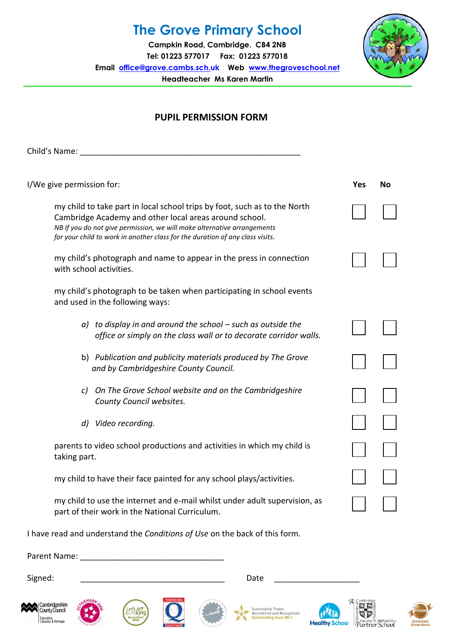## **The Grove Primary School**

**Campkin Road, Cambridge. CB4 2NB Tel: 01223 577017 Fax: 01223 577018 Email [office@grove.cambs.sch.uk](mailto:office@grove.cambs.sch.uk) Web [www.thegroveschool.net](http://www.thegroveschool.net/) Headteacher Ms Karen Martin**



## **PUPIL PERMISSION FORM**

Child's Name: \_\_\_\_\_\_\_\_\_\_\_\_\_\_\_\_\_\_\_\_\_\_\_\_\_\_\_\_\_\_\_\_\_\_\_\_\_\_\_\_\_\_\_\_\_\_\_\_\_

| I/We give permission for:                                                                                                                                                                                                                                                                       | <b>Yes</b> | <b>No</b> |
|-------------------------------------------------------------------------------------------------------------------------------------------------------------------------------------------------------------------------------------------------------------------------------------------------|------------|-----------|
| my child to take part in local school trips by foot, such as to the North<br>Cambridge Academy and other local areas around school.<br>NB If you do not give permission, we will make alternative arrangements<br>for your child to work in another class for the duration of any class visits. |            |           |
| my child's photograph and name to appear in the press in connection<br>with school activities.                                                                                                                                                                                                  |            |           |
| my child's photograph to be taken when participating in school events<br>and used in the following ways:                                                                                                                                                                                        |            |           |
| $a)$ to display in and around the school $-$ such as outside the<br>office or simply on the class wall or to decorate corridor walls.                                                                                                                                                           |            |           |
| b) Publication and publicity materials produced by The Grove<br>and by Cambridgeshire County Council.                                                                                                                                                                                           |            |           |
| On The Grove School website and on the Cambridgeshire<br>$\mathcal{C}$<br>County Council websites.                                                                                                                                                                                              |            |           |
| Video recording.<br>d)                                                                                                                                                                                                                                                                          |            |           |
| parents to video school productions and activities in which my child is<br>taking part.                                                                                                                                                                                                         |            |           |
| my child to have their face painted for any school plays/activities.                                                                                                                                                                                                                            |            |           |
| my child to use the internet and e-mail whilst under adult supervision, as<br>part of their work in the National Curriculum.                                                                                                                                                                    |            |           |

I have read and understand the *Conditions of Use* on the back of this form.

Parent Name: **Example 20** 

Signed: \_\_\_\_\_\_\_\_\_\_\_\_\_\_\_\_\_\_\_\_\_\_\_\_\_\_\_\_\_\_\_\_ Date \_\_\_\_\_\_\_\_\_\_\_\_\_\_\_\_\_\_\_















J.